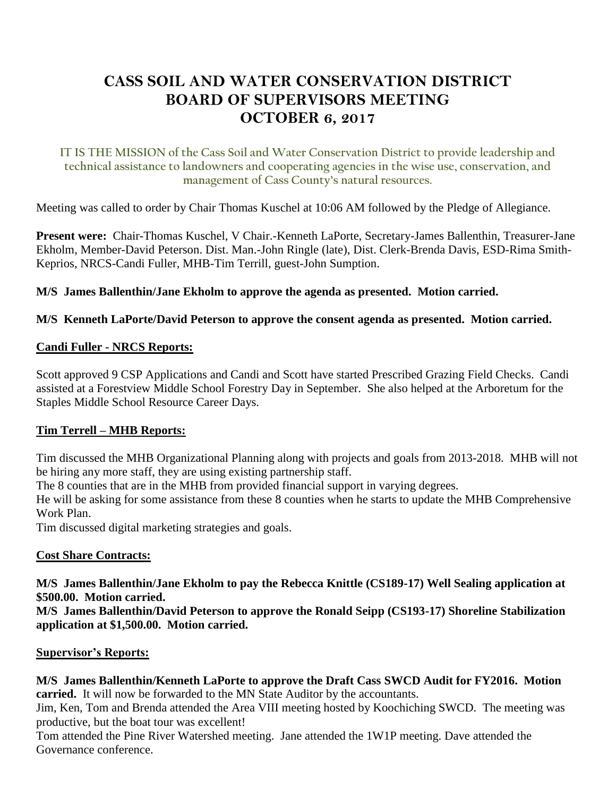# **CASS SOIL AND WATER CONSERVATION DISTRICT BOARD OF SUPERVISORS MEETING OCTOBER 6, 2017**

**IT IS THE MISSION of the Cass Soil and Water Conservation District to provide leadership and technical assistance to landowners and cooperating agencies in the wise use, conservation, and management of Cass County's natural resources.**

Meeting was called to order by Chair Thomas Kuschel at 10:06 AM followed by the Pledge of Allegiance.

**Present were:** Chair-Thomas Kuschel, V Chair.-Kenneth LaPorte, Secretary-James Ballenthin, Treasurer-Jane Ekholm, Member-David Peterson. Dist. Man.-John Ringle (late), Dist. Clerk-Brenda Davis, ESD-Rima Smith-Keprios, NRCS-Candi Fuller, MHB-Tim Terrill, guest-John Sumption.

**M/S James Ballenthin/Jane Ekholm to approve the agenda as presented. Motion carried.**

## **M/S Kenneth LaPorte/David Peterson to approve the consent agenda as presented. Motion carried.**

## **Candi Fuller - NRCS Reports:**

Scott approved 9 CSP Applications and Candi and Scott have started Prescribed Grazing Field Checks. Candi assisted at a Forestview Middle School Forestry Day in September. She also helped at the Arboretum for the Staples Middle School Resource Career Days.

## **Tim Terrell – MHB Reports:**

Tim discussed the MHB Organizational Planning along with projects and goals from 2013-2018. MHB will not be hiring any more staff, they are using existing partnership staff.

The 8 counties that are in the MHB from provided financial support in varying degrees.

He will be asking for some assistance from these 8 counties when he starts to update the MHB Comprehensive Work Plan.

Tim discussed digital marketing strategies and goals.

## **Cost Share Contracts:**

**M/S James Ballenthin/Jane Ekholm to pay the Rebecca Knittle (CS189-17) Well Sealing application at \$500.00. Motion carried.**

**M/S James Ballenthin/David Peterson to approve the Ronald Seipp (CS193-17) Shoreline Stabilization application at \$1,500.00. Motion carried.**

## **Supervisor's Reports:**

## **M/S James Ballenthin/Kenneth LaPorte to approve the Draft Cass SWCD Audit for FY2016. Motion carried.** It will now be forwarded to the MN State Auditor by the accountants.

Jim, Ken, Tom and Brenda attended the Area VIII meeting hosted by Koochiching SWCD. The meeting was productive, but the boat tour was excellent!

Tom attended the Pine River Watershed meeting. Jane attended the 1W1P meeting. Dave attended the Governance conference.